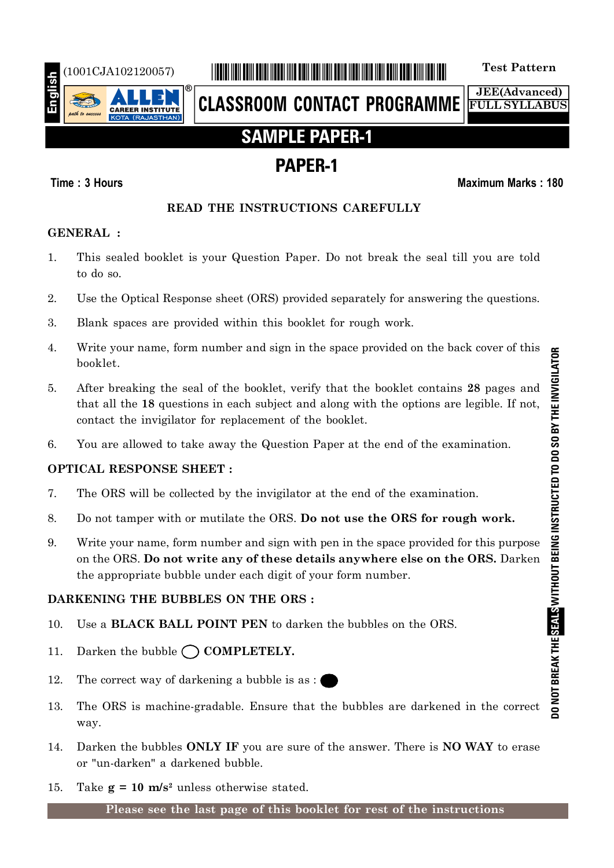

# (1001CJA102120057) \*1001CJA102120057\* **Test Pattern**

**CLASSROOM CONTACT PROGRAMME**

**JEE(Advanced) FULL SYLLABUS**

# **SAMPLE PAPER-1**

# **PAPER-1**

## **Time : 3 Hours Maximum Marks : 180**

## **READ THE INSTRUCTIONS CAREFULLY**

## **GENERAL :**

- 1. This sealed booklet is your Question Paper. Do not break the seal till you are told to do so.
- 2. Use the Optical Response sheet (ORS) provided separately for answering the questions.
- 3. Blank spaces are provided within this booklet for rough work.
- 4. Write your name, form number and sign in the space provided on the back cover of this booklet.
- 5. After breaking the seal of the booklet, verify that the booklet contains **28** pages and that all the **18** questions in each subject and along with the options are legible. If not, contact the invigilator for replacement of the booklet.
- 6. You are allowed to take away the Question Paper at the end of the examination.

# **OPTICAL RESPONSE SHEET :**

- 7. The ORS will be collected by the invigilator at the end of the examination.
- 8. Do not tamper with or mutilate the ORS. **Do not use the ORS for rough work.**
- 9. Write your name, form number and sign with pen in the space provided for this purpose on the ORS. **Do not write any of these details anywhere else on the ORS.** Darken the appropriate bubble under each digit of your form number.

# **DARKENING THE BUBBLES ON THE ORS :**

- 10. Use a **BLACK BALL POINT PEN** to darken the bubbles on the ORS.
- 11. Darken the bubble  $\bigcap$  **COMPLETELY.**
- 12. The correct way of darkening a bubble is as :
- 13. The ORS is machine-gradable. Ensure that the bubbles are darkened in the correct way.
- 14. Darken the bubbles **ONLY IF** you are sure of the answer. There is **NO WAY** to erase or "un-darken" a darkened bubble.
- 15. Take  $g = 10$  m/s<sup>2</sup> unless otherwise stated.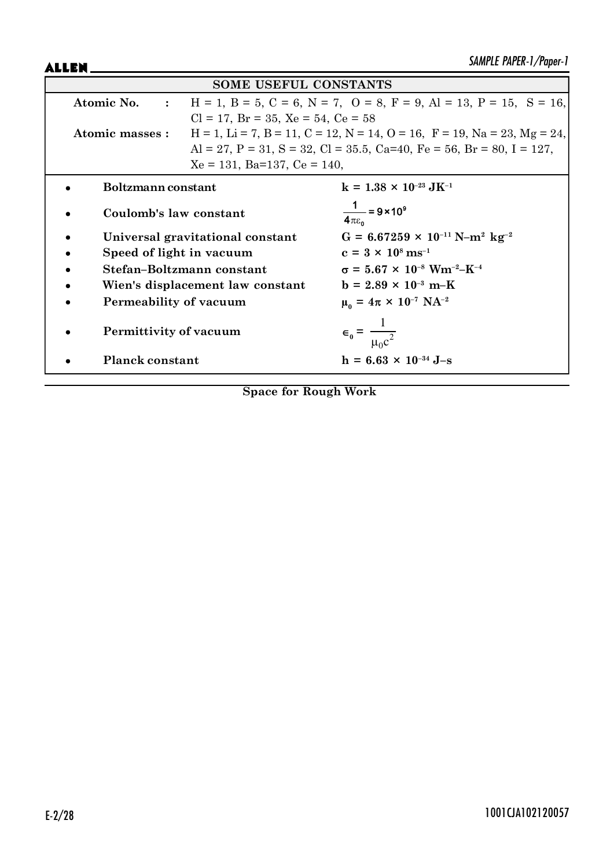ALLEN\_

|                          | <b>SOME USEFUL CONSTANTS</b>                  |                                                                                                     |
|--------------------------|-----------------------------------------------|-----------------------------------------------------------------------------------------------------|
| Atomic No. :             |                                               | $H = 1$ , $B = 5$ , $C = 6$ , $N = 7$ , $O = 8$ , $F = 9$ , $Al = 13$ , $P = 15$ , $S = 16$ ,       |
|                          | $Cl = 17$ , $Br = 35$ , $Xe = 54$ , $Ce = 58$ |                                                                                                     |
| Atomic masses :          |                                               | $H = 1$ , $Li = 7$ , $B = 11$ , $C = 12$ , $N = 14$ , $O = 16$ , $F = 19$ , $Na = 23$ , $Mg = 24$ , |
|                          |                                               | Al = 27, P = 31, S = 32, Cl = 35.5, Ca=40, Fe = 56, Br = 80, I = 127,                               |
|                          | $Xe = 131$ , Ba=137, Ce = 140,                |                                                                                                     |
| Boltzmann constant       |                                               | $k = 1.38 \times 10^{-23} \text{ J} \text{K}^{-1}$                                                  |
| Coulomb's law constant   |                                               | $\frac{1}{4\pi\epsilon_0}$ = 9 × 10 <sup>9</sup>                                                    |
|                          | Universal gravitational constant              | $G = 6.67259 \times 10^{-11} \text{ N} - \text{m}^2 \text{ kg}^{-2}$                                |
| Speed of light in vacuum |                                               | $c = 3 \times 10^8 \text{ ms}^{-1}$                                                                 |
|                          | Stefan-Boltzmann constant                     | $\sigma = 5.67 \times 10^{-8}$ Wm <sup>-2</sup> -K <sup>-4</sup>                                    |
|                          | Wien's displacement law constant              | $b = 2.89 \times 10^{-3} \text{ m-K}$                                                               |
| Permeability of vacuum   |                                               | $\mu_0 = 4\pi \times 10^{-7} \text{ NA}^{-2}$                                                       |
| Permittivity of vacuum   |                                               | $\epsilon_0 = \frac{1}{\mu_0 c^2}$                                                                  |
| <b>Planck constant</b>   |                                               | $h = 6.63 \times 10^{-34}$ J-s                                                                      |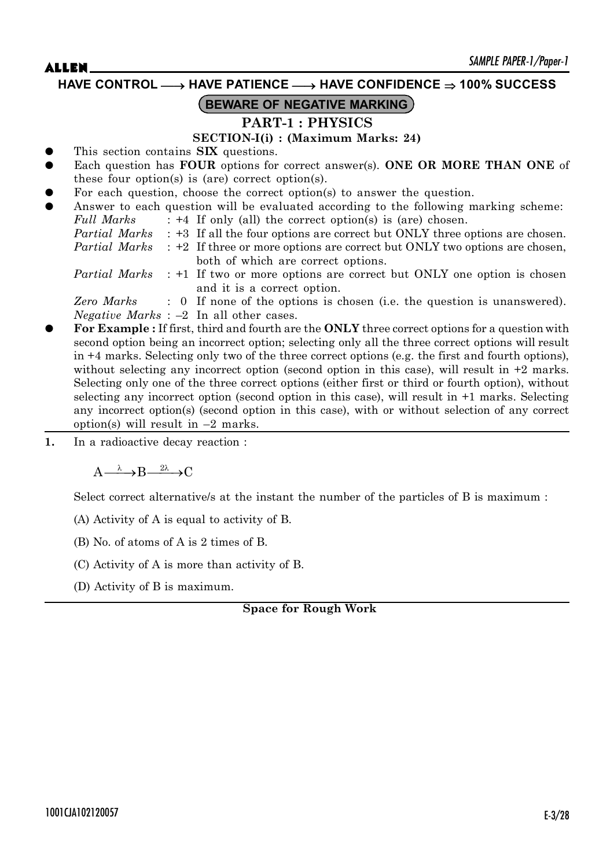**HAVE CONTROL** o **HAVE PATIENCE** o **HAVE CONFIDENCE 100% SUCCESS**

# **BEWARE OF NEGATIVE MARKING**

# **PART-1 : PHYSICS**

### **SECTION-I(i) : (Maximum Marks: 24)**

- z This section contains **SIX** questions.
- Each question has **FOUR** options for correct answer(s). ONE OR MORE THAN ONE of these four option(s) is (are) correct option(s).
- For each question, choose the correct option(s) to answer the question.
- Answer to each question will be evaluated according to the following marking scheme: *Full Marks* : +4 If only (all) the correct option(s) is (are) chosen. *Partial Marks* : +3 If all the four options are correct but ONLY three options are chosen. *Partial Marks* : +2 If three or more options are correct but ONLY two options are chosen, both of which are correct options. *Partial Marks* : +1 If two or more options are correct but ONLY one option is chosen and it is a correct option. *Zero Marks* : 0 If none of the options is chosen (i.e. the question is unanswered). *Negative Marks* : –2 In all other cases. z **For Example :** If first, third and fourth are the **ONLY** three correct options for a question with
- second option being an incorrect option; selecting only all the three correct options will result in +4 marks. Selecting only two of the three correct options (e.g. the first and fourth options), without selecting any incorrect option (second option in this case), will result in  $+2$  marks. Selecting only one of the three correct options (either first or third or fourth option), without selecting any incorrect option (second option in this case), will result in +1 marks. Selecting any incorrect option(s) (second option in this case), with or without selection of any correct option(s) will result in  $-2$  marks.
- **1.** In a radioactive decay reaction :

 $A \longrightarrow R \longrightarrow 0$ 

Select correct alternative/s at the instant the number of the particles of B is maximum :

(A) Activity of A is equal to activity of B.

(B) No. of atoms of A is 2 times of B.

(C) Activity of A is more than activity of B.

(D) Activity of B is maximum.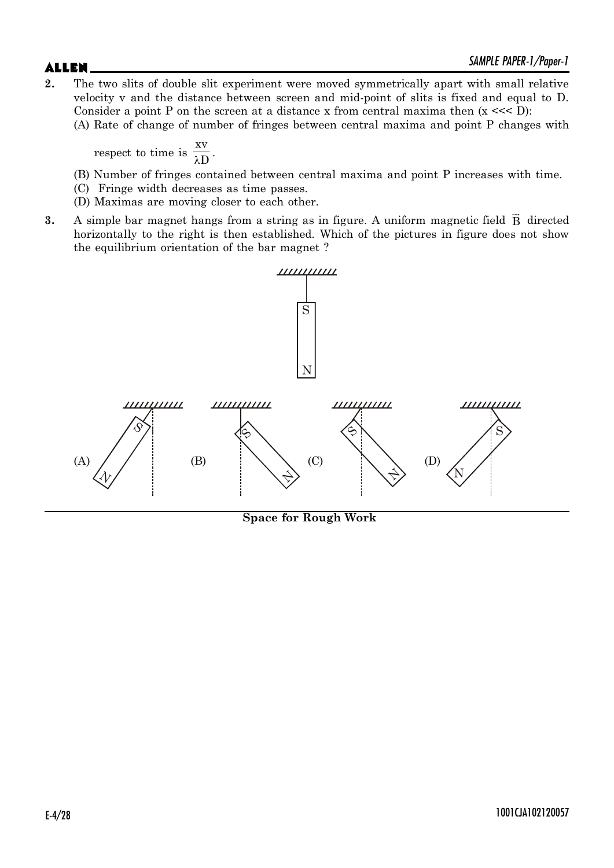**2.** The two slits of double slit experiment were moved symmetrically apart with small relative velocity v and the distance between screen and mid-point of slits is fixed and equal to D. Consider a point P on the screen at a distance x from central maxima then  $(x \ll 1)$ : (A) Rate of change of number of fringes between central maxima and point P changes with

respect to time is  $\frac{\pi}{\lambda}$ xv  $\frac{1}{D}$ .

- (B) Number of fringes contained between central maxima and point P increases with time.
- (C) Fringe width decreases as time passes.
- (D) Maximas are moving closer to each other.
- **3.** A simple bar magnet hangs from a string as in figure. A uniform magnetic field  $\vec{B}$  directed horizontally to the right is then established. Which of the pictures in figure does not show the equilibrium orientation of the bar magnet ?



**Space for Rough Work**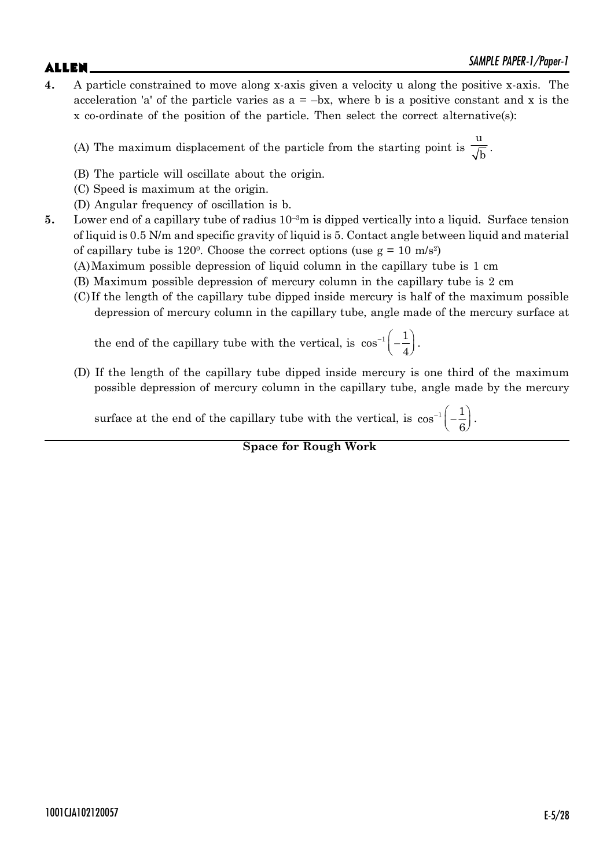# $ALLEN$   $\qquad \qquad$   $\qquad \qquad$   $\qquad \qquad$   $\qquad \qquad$   $\qquad \qquad$   $\qquad \qquad$   $\qquad \qquad$   $\qquad \qquad$   $\qquad \qquad$   $\qquad \qquad$   $\qquad \qquad$   $\qquad \qquad$   $\qquad \qquad$   $\qquad \qquad$   $\qquad \qquad$   $\qquad \qquad$   $\qquad \qquad$   $\qquad \qquad$   $\qquad \qquad$   $\qquad \qquad$   $\qquad \qquad$   $\qquad \qquad$   $\qquad \qquad$   $\qquad \qquad$

**4.** A particle constrained to move along x-axis given a velocity u along the positive x-axis. The acceleration 'a' of the particle varies as  $a = -bx$ , where b is a positive constant and x is the x co-ordinate of the position of the particle. Then select the correct alternative(s):

(A) The maximum displacement of the particle from the starting point is u  $\overline{\overline{b}}$ .

- (B) The particle will oscillate about the origin.
- (C) Speed is maximum at the origin.
- (D) Angular frequency of oscillation is b.
- **5.** Lower end of a capillary tube of radius  $10^{-3}$ m is dipped vertically into a liquid. Surface tension of liquid is 0.5 N/m and specific gravity of liquid is 5. Contact angle between liquid and material of capillary tube is  $120^{\circ}$ . Choose the correct options (use  $g = 10 \text{ m/s}^2$ )
	- (A)Maximum possible depression of liquid column in the capillary tube is 1 cm
	- (B) Maximum possible depression of mercury column in the capillary tube is 2 cm
	- (C)If the length of the capillary tube dipped inside mercury is half of the maximum possible depression of mercury column in the capillary tube, angle made of the mercury surface at

the end of the capillary tube with the vertical, is  $\cos^{-1}\left(-\frac{1}{4}\right)$ . 4 .

(D) If the length of the capillary tube dipped inside mercury is one third of the maximum possible depression of mercury column in the capillary tube, angle made by the mercury

surface at the end of the capillary tube with the vertical, is  $\cos^{-1}\left(-\frac{1}{6}\right)$ . 6 .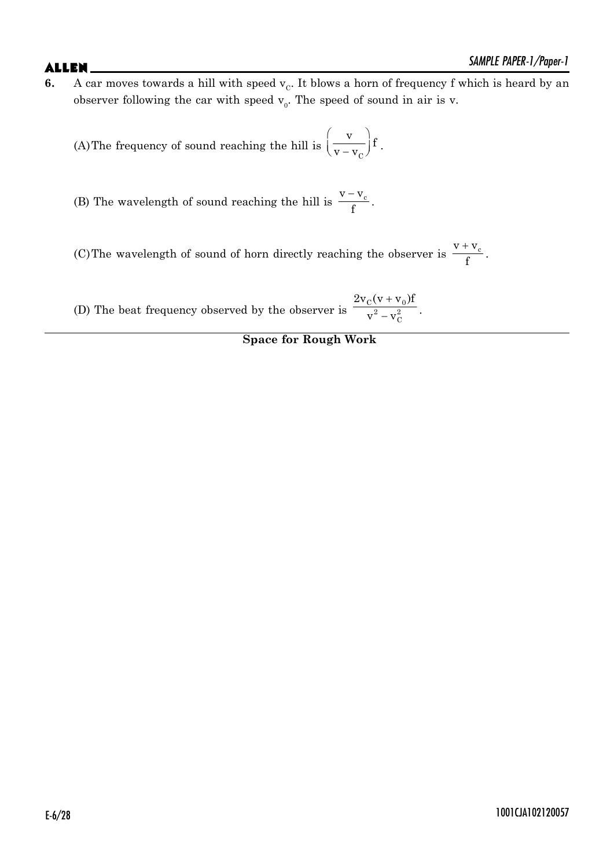**6.** A car moves towards a hill with speed  $v_c$ . It blows a horn of frequency f which is heard by an observer following the car with speed  $v_0$ . The speed of sound in air is v.

(A)The frequency of sound reaching the hill is  $\left(\frac{1}{V - V_C}\right)$  $\frac{v}{\sqrt{t}}$  f  $v - v$  $(y)$  $\left(\overline{\overline{v-v_{C}}}\right)^{\dagger}$ .

(B) The wavelength of sound reaching the hill is  $\frac{V-V_c}{c}$  $\frac{c}{f}$ .

(C) The wavelength of sound of horn directly reaching the observer is  $\frac{V + V_c}{c}$  $\frac{1}{f}$ .

(D) The beat frequency observed by the observer is  $\overline{+}$  $\overline{a}$  $C$  (  $\mathbf{v}$  +  $\mathbf{v}$  0  $^{2} - v_{C}^{2}$  $2v_C (v + v_0)$ f  $\frac{v^2 - v_C^2}{v^2 - v_C^2}$ .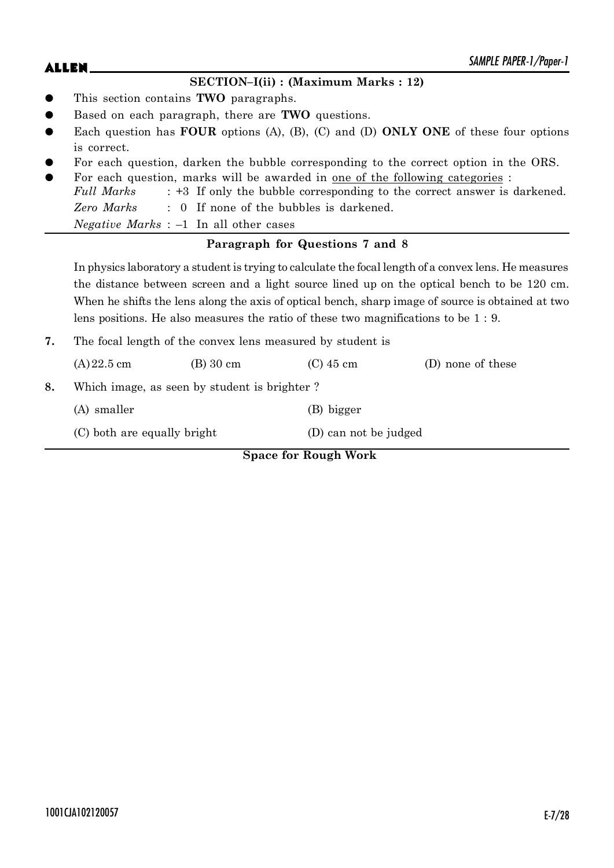# $ALLEN$   $\qquad \qquad$   $\qquad \qquad$   $\qquad \qquad$   $\qquad \qquad$   $\qquad \qquad$   $\qquad \qquad$   $\qquad \qquad$   $\qquad \qquad$   $\qquad \qquad$   $\qquad \qquad$   $\qquad \qquad$   $\qquad \qquad$   $\qquad \qquad$   $\qquad \qquad$   $\qquad \qquad$   $\qquad \qquad$   $\qquad \qquad$   $\qquad \qquad$   $\qquad \qquad$   $\qquad \qquad$   $\qquad \qquad$   $\qquad \qquad$   $\qquad \qquad$   $\qquad \qquad$

### **SECTION–I(ii) : (Maximum Marks : 12)**

- z This section contains **TWO** paragraphs.
- Based on each paragraph, there are **TWO** questions.
- Each question has **FOUR** options (A), (B), (C) and (D) **ONLY ONE** of these four options is correct.
- For each question, darken the bubble corresponding to the correct option in the ORS.
- For each question, marks will be awarded in <u>one of the following categories</u> : *Full Marks* : +3 If only the bubble corresponding to the correct answer is darkened. *Zero Marks* : 0 If none of the bubbles is darkened. *Negative Marks* : –1 In all other cases

### **Paragraph for Questions 7 and 8**

In physics laboratory a student is trying to calculate the focal length of a convex lens. He measures the distance between screen and a light source lined up on the optical bench to be 120 cm. When he shifts the lens along the axis of optical bench, sharp image of source is obtained at two lens positions. He also measures the ratio of these two magnifications to be 1 : 9.

**7.** The focal length of the convex lens measured by student is

|    |                             |                                              | <b>Space for Rough Work</b> |                   |
|----|-----------------------------|----------------------------------------------|-----------------------------|-------------------|
|    | (C) both are equally bright |                                              | (D) can not be judged       |                   |
|    | (A) smaller                 |                                              | (B) bigger                  |                   |
| 8. |                             | Which image, as seen by student is brighter? |                             |                   |
|    | $(A) 22.5$ cm               | $(B)$ 30 cm                                  | $(C)$ 45 cm                 | (D) none of these |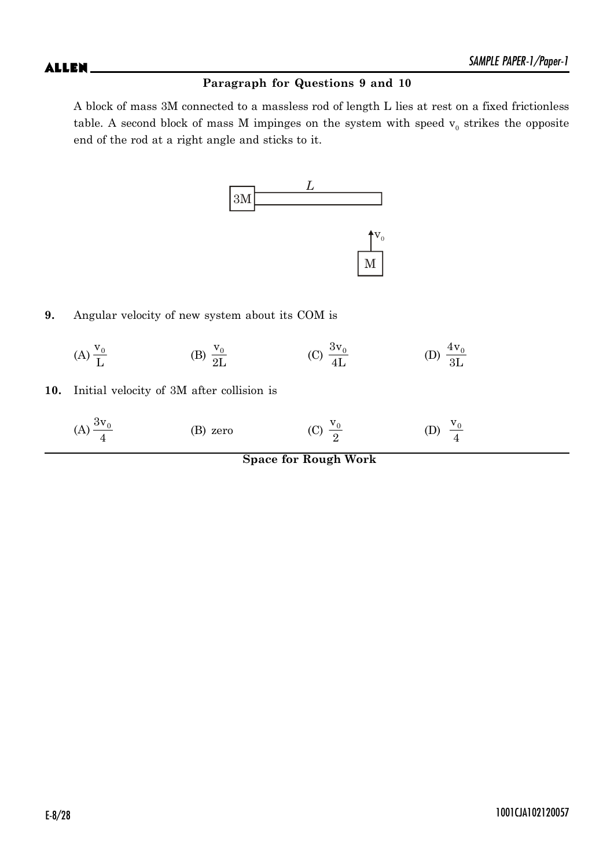### **Paragraph for Questions 9 and 10**

A block of mass 3M connected to a massless rod of length L lies at rest on a fixed frictionless table. A second block of mass M impinges on the system with speed  $v_0$  strikes the opposite end of the rod at a right angle and sticks to it.



**9.** Angular velocity of new system about its COM is

(A) 
$$
\frac{v_0}{L}
$$
 \t\t (B)  $\frac{v_0}{2L}$  \t\t (C)  $\frac{3v_0}{4L}$  \t\t (D)  $\frac{4v_0}{3L}$ 

**10.** Initial velocity of 3M after collision is

| (A) $\frac{3v_0}{4}$ | (B) zero | (C) $\frac{V_0}{2}$ | (D) $\frac{v_0}{4}$ |
|----------------------|----------|---------------------|---------------------|
|                      |          |                     |                     |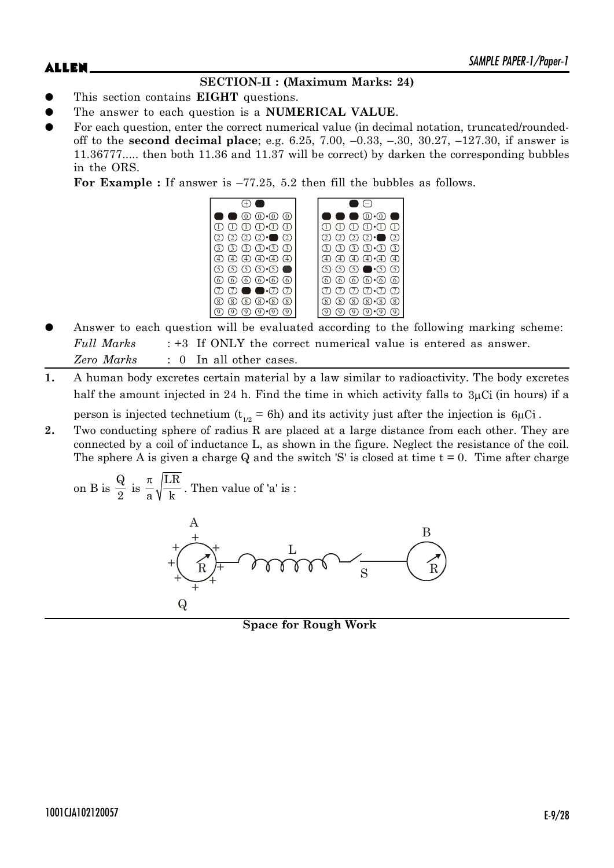# **SECTION-II : (Maximum Marks: 24)**

- z This section contains **EIGHT** questions.
- The answer to each question is a **NUMERICAL VALUE**.
- For each question, enter the correct numerical value (in decimal notation, truncated/roundedoff to the **second decimal place**; e.g. 6.25, 7.00, –0.33, –.30, 30.27, –127.30, if answer is 11.36777..... then both 11.36 and 11.37 will be correct) by darken the corresponding bubbles in the ORS.

**For Example :** If answer is –77.25, 5.2 then fill the bubbles as follows.



- Answer to each question will be evaluated according to the following marking scheme: *Full Marks* : +3 If ONLY the correct numerical value is entered as answer. *Zero Marks* : 0 In all other cases.
- **1.** A human body excretes certain material by a law similar to radioactivity. The body excretes half the amount injected in 24 h. Find the time in which activity falls to  $3\mu$ Ci (in hours) if a

person is injected technetium ( $t_{1/2}$  = 6h) and its activity just after the injection is 6 $\mu$ Ci.

**2.** Two conducting sphere of radius R are placed at a large distance from each other. They are connected by a coil of inductance L, as shown in the figure. Neglect the resistance of the coil. The sphere A is given a charge Q and the switch 'S' is closed at time  $t = 0$ . Time after charge

on B is 
$$
\frac{Q}{2}
$$
 is  $\frac{\pi}{a} \sqrt{\frac{LR}{k}}$ . Then value of 'a' is :



**Space for Rough Work**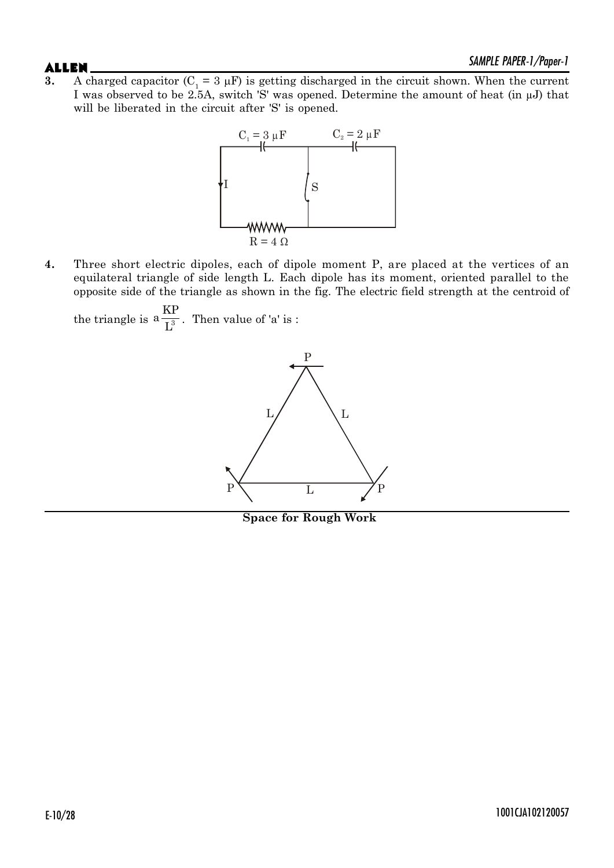**3.** A charged capacitor  $(C_1 = 3 \mu)$  is getting discharged in the circuit shown. When the current I was observed to be 2.5A, switch 'S' was opened. Determine the amount of heat (in  $\mu$ J) that will be liberated in the circuit after 'S' is opened.



**4.** Three short electric dipoles, each of dipole moment P, are placed at the vertices of an equilateral triangle of side length L. Each dipole has its moment, oriented parallel to the opposite side of the triangle as shown in the fig. The electric field strength at the centroid of

the triangle is  $a\frac{1}{1^3}$  $a \frac{\text{KP}}{2}$  $\overline{\mathrm{L}^3}$ . Then value of 'a' is :



**Space for Rough Work**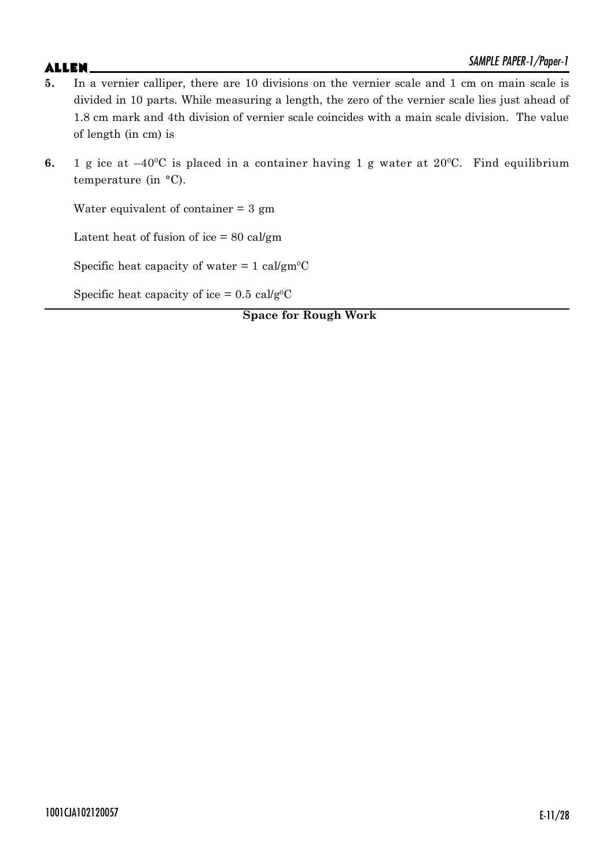- **5.** In a vernier calliper, there are 10 divisions on the vernier scale and 1 cm on main scale is divided in 10 parts. While measuring a length, the zero of the vernier scale lies just ahead of 1.8 cm mark and 4th division of vernier scale coincides with a main scale division. The value of length (in cm) is
- **6.** 1 g ice at  $-40^{\circ}$ C is placed in a container having 1 g water at 20 $^{\circ}$ C. Find equilibrium temperature (in °C).

Water equivalent of container  $= 3$  gm

Latent heat of fusion of ice  $= 80 \text{ cal/gm}$ 

Specific heat capacity of water  $= 1$  cal/gm<sup>o</sup>C

Specific heat capacity of ice =  $0.5 \text{ cal/g}^0$ C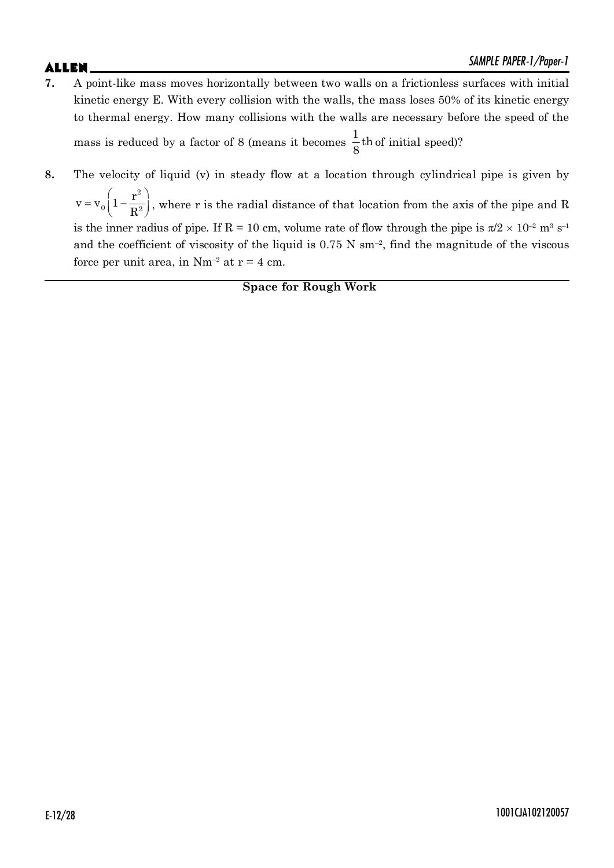- **7.** A point-like mass moves horizontally between two walls on a frictionless surfaces with initial kinetic energy E. With every collision with the walls, the mass loses 50% of its kinetic energy to thermal energy. How many collisions with the walls are necessary before the speed of the mass is reduced by a factor of 8 (means it becomes  $\frac{1}{6}$ th  $\frac{1}{8}$ th of initial speed)?
- **8.** The velocity of liquid (v) in steady flow at a location through cylindrical pipe is given by

 $\begin{pmatrix} 0 & r^2 \end{pmatrix}$  $= v_0 \left( 1 - \frac{1}{R^2} \right),$ 2 0  $1 - \frac{1}{2}$  $v = v_0 \left(1 - \frac{r}{r}\right)$  $\left(\frac{1}{R^2}\right)$ , where r is the radial distance of that location from the axis of the pipe and R is the inner radius of pipe. If R = 10 cm, volume rate of flow through the pipe is  $\pi/2 \times 10^{-2}$  m<sup>3</sup> s<sup>-1</sup> and the coefficient of viscosity of the liquid is  $0.75$  N sm<sup>-2</sup>, find the magnitude of the viscous force per unit area, in  $Nm^{-2}$  at  $r = 4$  cm.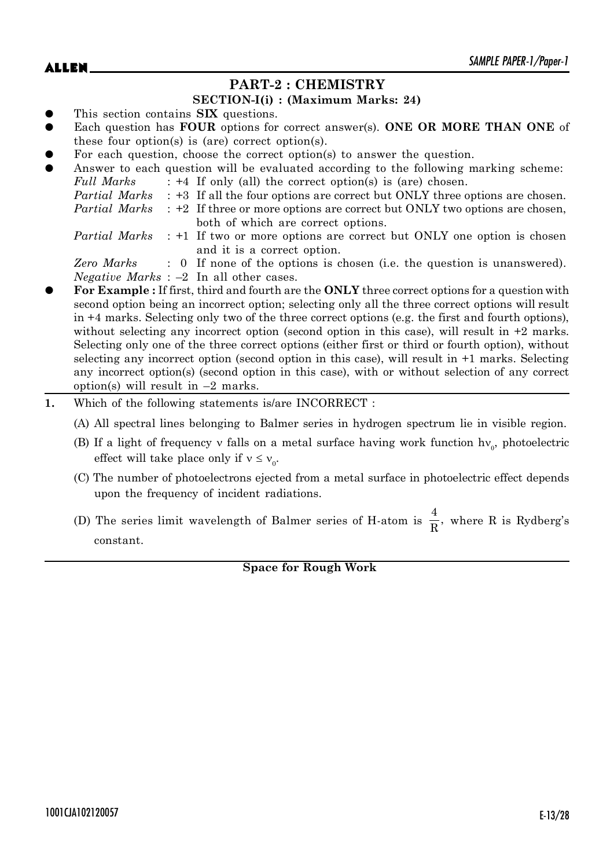# **PART-2 : CHEMISTRY**

### **SECTION-I(i) : (Maximum Marks: 24)**

- This section contains **SIX** questions.
- Each question has **FOUR** options for correct answer(s). **ONE OR MORE THAN ONE** of these four option(s) is (are) correct option(s).
- For each question, choose the correct option(s) to answer the question.

|           |               | I of cach gaconion, choose the correct option to answer the gaconom.                             |
|-----------|---------------|--------------------------------------------------------------------------------------------------|
| $\bullet$ |               | Answer to each question will be evaluated according to the following marking scheme:             |
|           | Full Marks    | $: +4$ If only (all) the correct option(s) is (are) chosen.                                      |
|           |               | <i>Partial Marks</i> : +3 If all the four options are correct but ONLY three options are chosen. |
|           | Partial Marks | : +2 If three or more options are correct but ONLY two options are chosen,                       |
|           |               | both of which are correct options.                                                               |
|           |               | <i>Partial Marks</i> : +1 If two or more options are correct but ONLY one option is chosen       |
|           |               | and it is a correct option.                                                                      |
|           | Zero Marks    | : 0 If none of the options is chosen (i.e. the question is unanswered).                          |
|           |               | <i>Negative Marks</i> : $-2$ In all other cases.                                                 |
|           |               |                                                                                                  |

- For Example : If first, third and fourth are the **ONLY** three correct options for a question with second option being an incorrect option; selecting only all the three correct options will result in +4 marks. Selecting only two of the three correct options (e.g. the first and fourth options), without selecting any incorrect option (second option in this case), will result in  $+2$  marks. Selecting only one of the three correct options (either first or third or fourth option), without selecting any incorrect option (second option in this case), will result in +1 marks. Selecting any incorrect option(s) (second option in this case), with or without selection of any correct option(s) will result in  $-2$  marks.
- **1.** Which of the following statements is/are INCORRECT :

(A) All spectral lines belonging to Balmer series in hydrogen spectrum lie in visible region.

- (B) If a light of frequency v falls on a metal surface having work function  $hv_0$ , photoelectric effect will take place only if  $v \le v_0$ .
- (C) The number of photoelectrons ejected from a metal surface in photoelectric effect depends upon the frequency of incident radiations.
- (D) The series limit wavelength of Balmer series of H-atom is  $\frac{4}{5}$  $\frac{1}{R}$ , where R is Rydberg's constant.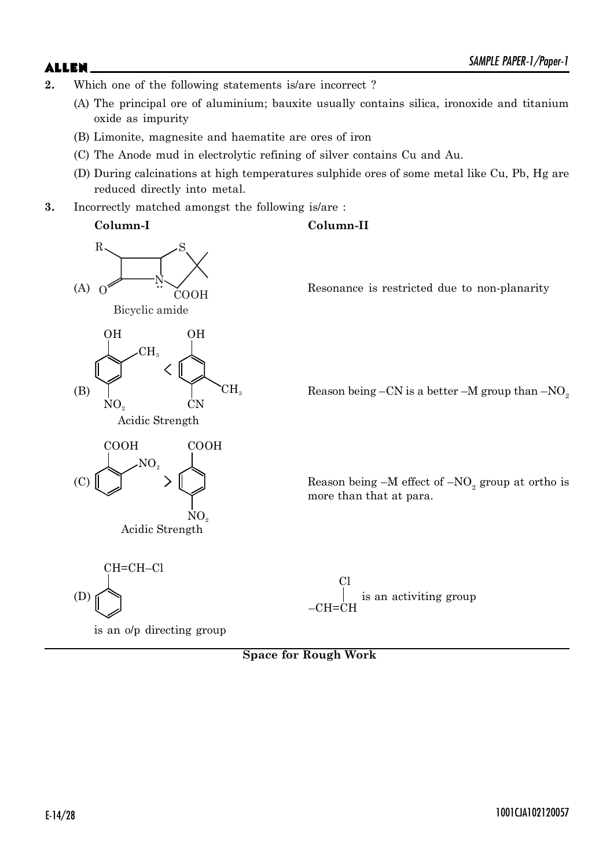- **2.** Which one of the following statements is/are incorrect ?
	- (A) The principal ore of aluminium; bauxite usually contains silica, ironoxide and titanium oxide as impurity
	- (B) Limonite, magnesite and haematite are ores of iron
	- (C) The Anode mud in electrolytic refining of silver contains Cu and Au.
	- (D) During calcinations at high temperatures sulphide ores of some metal like Cu, Pb, Hg are reduced directly into metal.
- **3.** Incorrectly matched amongst the following is/are :



is an o/p directing group

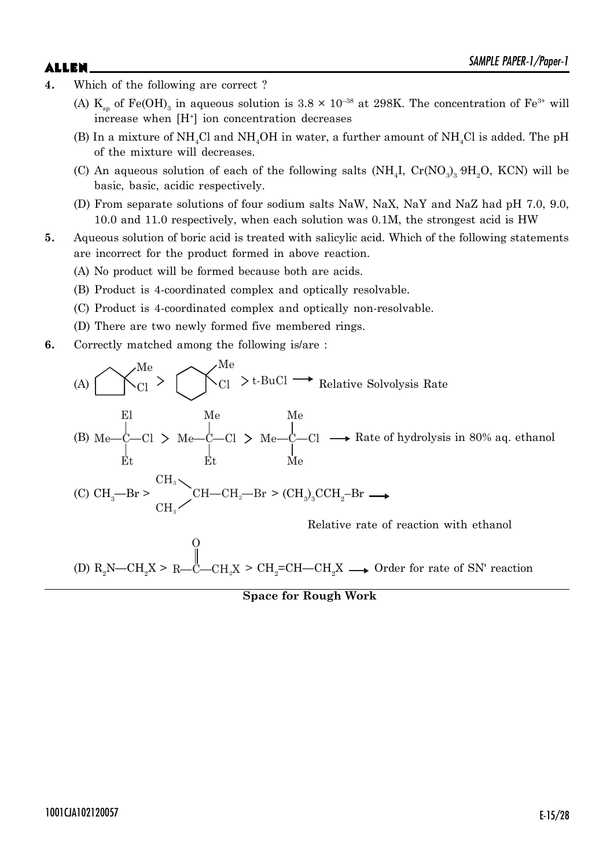- **4.** Which of the following are correct ?
	- (A)  $K_{sp}$  of Fe(OH)<sub>3</sub> in aqueous solution is 3.8  $\times$  10<sup>-38</sup> at 298K. The concentration of Fe<sup>3+</sup> will increase when [H<sup>+</sup>] ion concentration decreases
	- (B) In a mixture of  $NH<sub>4</sub>Cl$  and  $NH<sub>4</sub>OH$  in water, a further amount of  $NH<sub>4</sub>Cl$  is added. The pH of the mixture will decreases.
	- (C) An aqueous solution of each of the following salts  $(NH_4I, Cr(NO_3)_39H_2O, KCN)$  will be basic, basic, acidic respectively.
	- (D) From separate solutions of four sodium salts NaW, NaX, NaY and NaZ had pH 7.0, 9.0, 10.0 and 11.0 respectively, when each solution was 0.1M, the strongest acid is HW
- **5.** Aqueous solution of boric acid is treated with salicylic acid. Which of the following statements are incorrect for the product formed in above reaction.
	- (A) No product will be formed because both are acids.
	- (B) Product is 4-coordinated complex and optically resolvable.
	- (C) Product is 4-coordinated complex and optically non-resolvable.
	- (D) There are two newly formed five membered rings.
- **6.** Correctly matched among the following is/are :

(A) 
$$
\bigotimes_{Cl}^{Me} > \bigotimes_{Cl}^{Me} > t\text{-BuCl} \longrightarrow \text{Relative Solvolysis Rate}
$$

\nE1  $\bigotimes_{Et}^{He} \bigotimes_{Cl} \bigotimes_{He} - C - C1 > \text{Me} - C - C1 > \text{Me} - C - C1 \longrightarrow \text{Rate of hydrolysis in 80% aq. ethanol}$ 

\n(C)  $\text{CH}_3\text{--Br} > \bigotimes_{CH_3}^{CH_3} \bigotimes_{CH_2\text{--Br}} \bigotimes_{Cl_3}^{CH_2\text{--Br}} \bigotimes_{H_3}^{CH_3\text{--Br}} \bigotimes_{H_3}^{H_3\text{--Br}} \bigotimes_{H_3}^{H_3\text{--Br}} \bigotimes_{H_3}^{H_3\text{--Br}} \bigotimes_{H_3}^{H_3\text{--Br}} \bigotimes_{H_3}^{H_3\text{--Br}} \bigotimes_{H_3}^{H_3\text{--Br}} \bigotimes_{H_3}^{H_3\text{--Br}} \bigotimes_{H_3}^{H_3\text{--Br}} \bigotimes_{H_3}^{H_3\text{--Br}} \bigotimes_{H_3}^{H_3\text{--Br}} \bigotimes_{H_3}^{H_3\text{--Br}} \bigotimes_{H_3}^{H_3\text{--Br}} \bigotimes_{H_3}^{H_3\text{--Br}} \bigotimes_{H_3}^{H_3\text{--Br}} \bigotimes_{H_3}^{H_3\text{--Br}} \bigotimes_{H_3}^{H_3\text{--Br}} \bigotimes_{H_3}^{H_3\text{--Br}} \bigotimes_{H_3}^{H_3\text{--Br}} \bigotimes_{H_3}^{H_3\text{--Br}} \bigotimes_{H_3}^{H_3\text{--Br}} \bigotimes_{H_3}^{H_3\text{--Br}} \bigotimes_{H_3}^{H_3\text{--Br}} \bigotimes_{H_3}^{H_3\text{--Br}} \bigotimes_{H_3}^{H_3\text{--Br}} \bigotimes_{H_3}^{H_3\text{--Br}} \bigotimes_{H_3}^{H_3\text{--Br}} \bigotimes_{H_3}^{H_3\text{--Br}} \bigotimes_{H_3}^{H_3\text{$ 

(D)  $R_2N$ — $CH_2X > R$ — $C$ — $CH_2X$ O > CH<sub>2</sub>=CH—CH<sub>2</sub>X → Order for rate of SN' reaction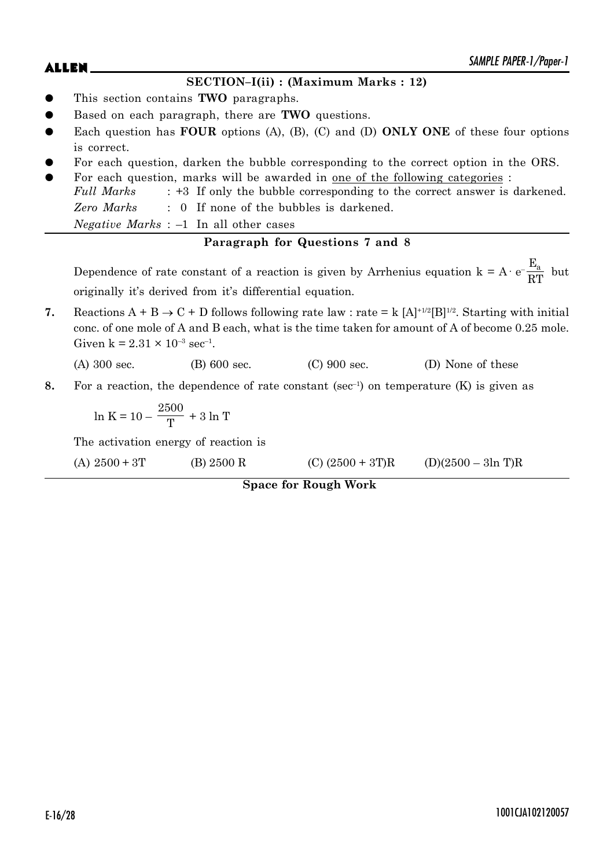## **SECTION–I(ii) : (Maximum Marks : 12)**

- z This section contains **TWO** paragraphs.
- Based on each paragraph, there are **TWO** questions.
- Each question has **FOUR** options (A), (B), (C) and (D) **ONLY ONE** of these four options is correct.
- For each question, darken the bubble corresponding to the correct option in the ORS.
- For each question, marks will be awarded in <u>one of the following categories</u> : *Full Marks* : +3 If only the bubble corresponding to the correct answer is darkened. *Zero Marks* : 0 If none of the bubbles is darkened. *Negative Marks* : –1 In all other cases

# **Paragraph for Questions 7 and 8**

Dependence of rate constant of a reaction is given by Arrhenius equation  $k = A \cdot e^{-\frac{E_a}{2Dt}}$  $\frac{a}{RT}$  but originally it's derived from it's differential equation.

**7.** Reactions  $A + B \rightarrow C + D$  follows following rate law : rate = k  $[A]^{+1/2}[B]^{1/2}$ . Starting with initial conc. of one mole of A and B each, what is the time taken for amount of A of become 0.25 mole. Given  $k = 2.31 \times 10^{-3}$  sec<sup>-1</sup>.

(A) 300 sec. (B) 600 sec. (C) 900 sec. (D) None of these

**8.** For a reaction, the dependence of rate constant (sec<sup>-1</sup>) on temperature (K) is given as

$$
\ln K=10-\frac{2500}{T}+3\ln T
$$

The activation energy of reaction is

| (A) $2500 + 3T$ | (B) 2500 R | $(C)$ (2500 + 3T)R | $(D)(2500 - 3ln T)R$ |
|-----------------|------------|--------------------|----------------------|
|-----------------|------------|--------------------|----------------------|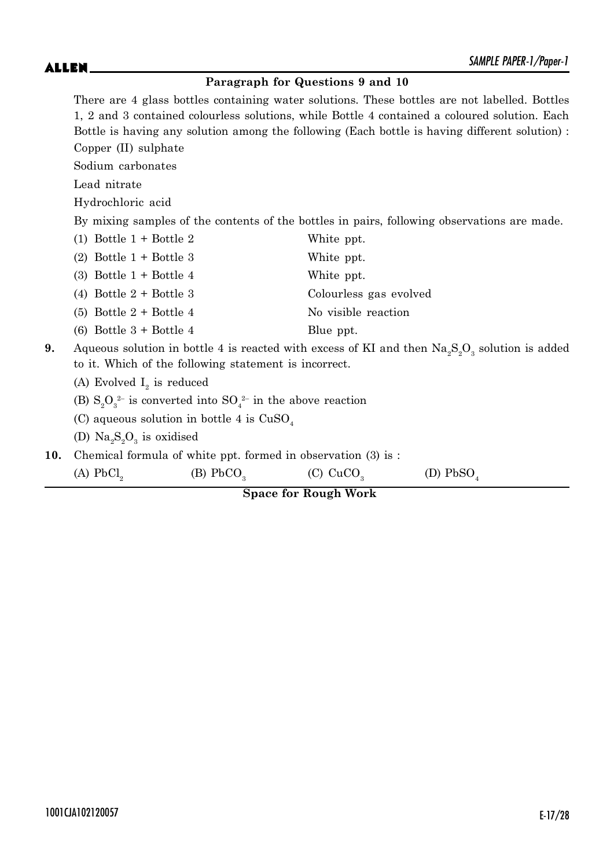## **Paragraph for Questions 9 and 10**

There are 4 glass bottles containing water solutions. These bottles are not labelled. Bottles 1, 2 and 3 contained colourless solutions, while Bottle 4 contained a coloured solution. Each Bottle is having any solution among the following (Each bottle is having different solution) : Copper (II) sulphate

Sodium carbonates

Lead nitrate

Hydrochloric acid

By mixing samples of the contents of the bottles in pairs, following observations are made.

|    | $(1)$ Bottle $1 +$ Bottle 2                                           | White ppt.                                                                                                             |
|----|-----------------------------------------------------------------------|------------------------------------------------------------------------------------------------------------------------|
|    | $(2)$ Bottle 1 + Bottle 3                                             | White ppt.                                                                                                             |
|    | (3) Bottle $1 +$ Bottle 4                                             | White ppt.                                                                                                             |
|    | (4) Bottle $2 +$ Bottle 3                                             | Colourless gas evolved                                                                                                 |
|    | $(5)$ Bottle 2 + Bottle 4                                             | No visible reaction                                                                                                    |
|    | $(6)$ Bottle 3 + Bottle 4                                             | Blue ppt.                                                                                                              |
| 9. | to it. Which of the following statement is incorrect.                 | Aqueous solution in bottle 4 is reacted with excess of KI and then $\text{Na}_2\text{S}_2\text{O}_3$ solution is added |
|    | (A) Evolved $I_2$ is reduced                                          |                                                                                                                        |
|    | (B) $S_0O_3^{2-}$ is converted into $SO_4^{2-}$ in the above reaction |                                                                                                                        |
|    | (C) aqueous solution in bottle 4 is $CuSO4$                           |                                                                                                                        |

(D)  $\text{Na}_2\text{S}_2\text{O}_3$  is oxidised

**10.** Chemical formula of white ppt. formed in observation (3) is :

(A)  $PbCl<sub>2</sub>$ (B)  $PbCO<sub>3</sub>$ (C)  $CuCO<sub>3</sub>$ (D)  $PbSO<sub>4</sub>$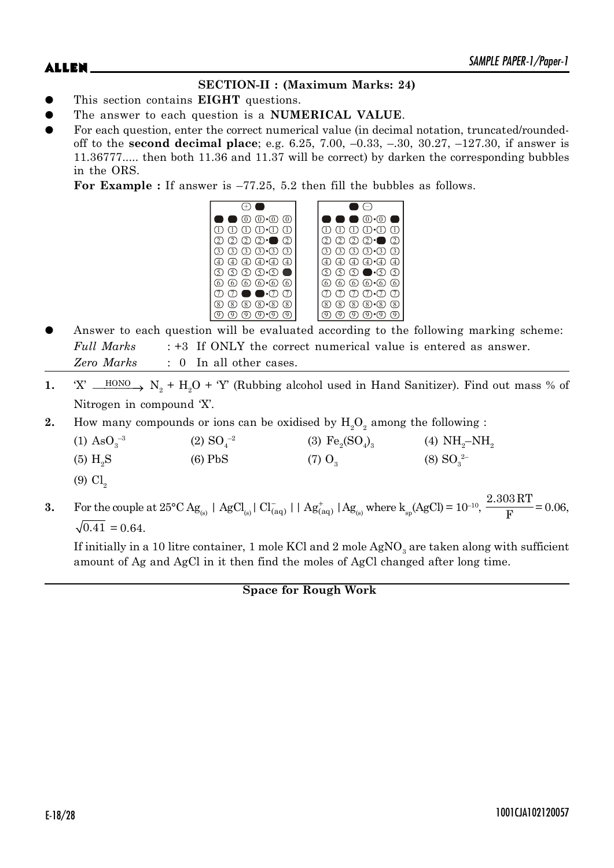# **SECTION-II : (Maximum Marks: 24)**

- This section contains **EIGHT** questions.
- The answer to each question is a **NUMERICAL VALUE**.
- For each question, enter the correct numerical value (in decimal notation, truncated/roundedoff to the **second decimal place**; e.g. 6.25, 7.00, –0.33, –.30, 30.27, –127.30, if answer is 11.36777..... then both 11.36 and 11.37 will be correct) by darken the corresponding bubbles in the ORS.

**For Example :** If answer is –77.25, 5.2 then fill the bubbles as follows.



- Answer to each question will be evaluated according to the following marking scheme: *Full Marks* : +3 If ONLY the correct numerical value is entered as answer. *Zero Marks* : 0 In all other cases.
- 1. 'X'  $\underline{\hspace{1cm}}$  HONO  $\longrightarrow$  N<sub>2</sub> + H<sub>2</sub>O + 'Y' (Rubbing alcohol used in Hand Sanitizer). Find out mass % of Nitrogen in compound 'X'.
- **2.** How many compounds or ions can be oxidised by  $H_2O_2$  among the following :

| $(1)$ As $O_3^{-3}$    | $(2)$ SO <sub>4</sub> <sup>-2</sup> | (3) $Fe_2(SO_4)_3$   | (4) $NH_2-NH_2$     |
|------------------------|-------------------------------------|----------------------|---------------------|
| $(5)$ H <sub>2</sub> S | $(6)$ PbS                           | $(7)$ O <sub>3</sub> | $(8)$ $SO_{3}^{2-}$ |

- $(9)$  Cl<sub>2</sub>
- **3.** For the couple at  $25^{\circ}\text{C Ag}_{(s)}$  | AgCl<sub>(s)</sub>| Cl<sub>(aq)</sub>|| Ag<sub>(aq)</sub>||Ag<sub>(s)</sub> where k<sub>sp</sub>(AgCl) = 10<sup>-10</sup>, 2.303RT  $\frac{58444}{F}$  = 0.06,  $\sqrt{0.41} = 0.64$ .

If initially in a 10 litre container, 1 mole KCl and 2 mole  $\mathrm{AgNO}_{3}$  are taken along with sufficient amount of Ag and AgCl in it then find the moles of AgCl changed after long time.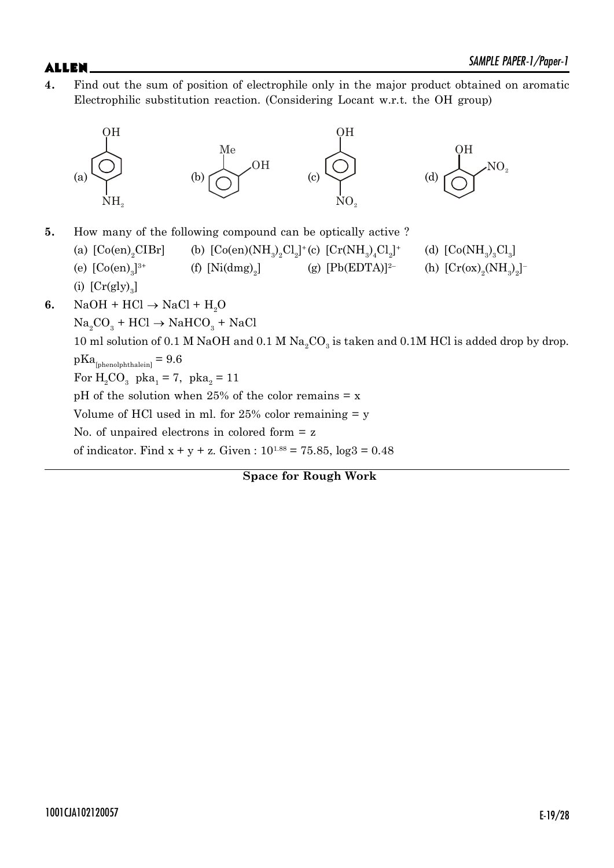**4.** Find out the sum of position of electrophile only in the major product obtained on aromatic Electrophilic substitution reaction. (Considering Locant w.r.t. the OH group)

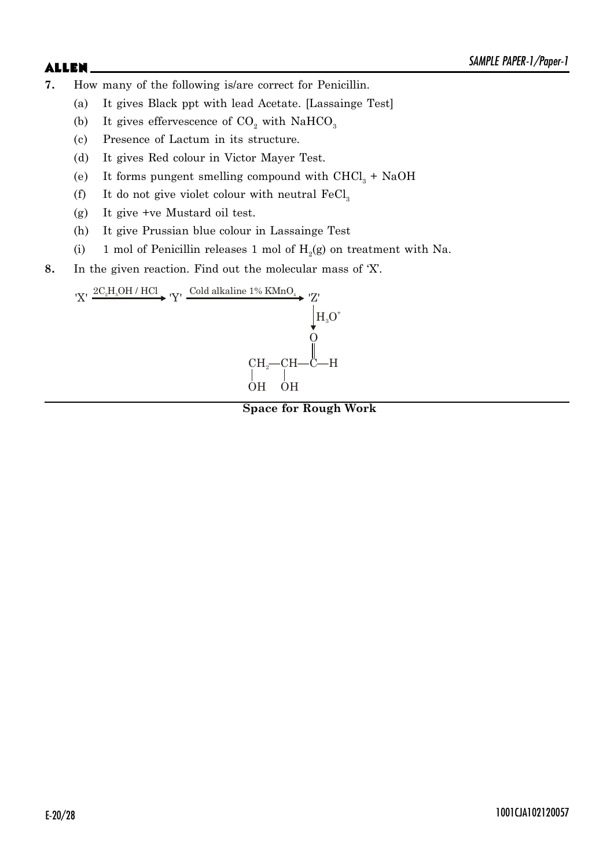- **7.** How many of the following is/are correct for Penicillin.
	- (a) It gives Black ppt with lead Acetate. [Lassainge Test]
	- (b) It gives effervescence of  $CO_2$  with NaHCO<sub>3</sub>
	- (c) Presence of Lactum in its structure.
	- (d) It gives Red colour in Victor Mayer Test.
	- (e) It forms pungent smelling compound with  $CHCl<sub>3</sub> + NaOH$
	- (f) It do not give violet colour with neutral  $\text{FeCl}_3$
	- (g) It give +ve Mustard oil test.
	- (h) It give Prussian blue colour in Lassainge Test
	- (i) 1 mol of Penicillin releases 1 mol of  $H_2(g)$  on treatment with Na.
- **8.** In the given reaction. Find out the molecular mass of 'X'.

 $CH<sub>2</sub>$ <sup>--</sup>CH-O OH OH  $H_3O^*$  $YX' \xrightarrow{2C_2H_5OH/HCl} Y' \xrightarrow{Cold alkaline 1\% KMnO_4} YZ'$ 

**Space for Rough Work**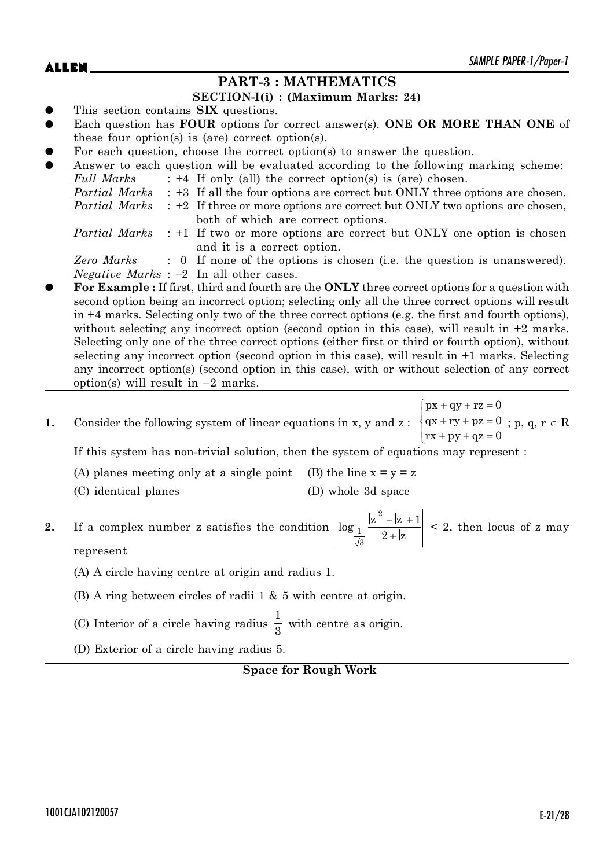# **PART-3 : MATHEMATICS**

### **SECTION-I(i) : (Maximum Marks: 24)**

- This section contains **SIX** questions.
- Each question has **FOUR** options for correct answer(s). **ONE OR MORE THAN ONE** of these four option(s) is (are) correct option(s).
- For each question, choose the correct option(s) to answer the question.

| $\bullet$ |               | Answer to each question will be evaluated according to the following marking scheme:             |
|-----------|---------------|--------------------------------------------------------------------------------------------------|
|           | Full Marks    | $: +4$ If only (all) the correct option(s) is (are) chosen.                                      |
|           |               | <i>Partial Marks</i> : +3 If all the four options are correct but ONLY three options are chosen. |
|           | Partial Marks | $\div$ +2 If three or more options are correct but ONLY two options are chosen,                  |
|           |               | both of which are correct options.                                                               |
|           |               | <i>Partial Marks</i> : +1 If two or more options are correct but ONLY one option is chosen       |
|           |               | and it is a correct option.                                                                      |
|           | Zero Marks    | : 0 If none of the options is chosen (i.e. the question is unanswered).                          |
|           |               |                                                                                                  |

- *Negative Marks* : –2 In all other cases.
- z **For Example :** If first, third and fourth are the **ONLY** three correct options for a question with second option being an incorrect option; selecting only all the three correct options will result in +4 marks. Selecting only two of the three correct options (e.g. the first and fourth options), without selecting any incorrect option (second option in this case), will result in  $+2$  marks. Selecting only one of the three correct options (either first or third or fourth option), without selecting any incorrect option (second option in this case), will result in +1 marks. Selecting any incorrect option(s) (second option in this case), with or without selection of any correct option(s) will result in  $-2$  marks.
- **1.** Consider the following system of linear equations in x, y and z:  $\{qx + ry + pz = 0\}$  $\int \n\begin{cases}\npx + qy + rz = 0 \\
\cos x + \cos y = 0\n\end{cases}$  $\int$   $rx + py + qz =$  $qx + ry + pz = 0$  $rx + py + qz = 0$ ; p, q,  $r \in R$

If this system has non-trivial solution, then the system of equations may represent :

- (A) planes meeting only at a single point (B) the line  $x = y = z$
- (C) identical planes (D) whole 3d space

**2.** If a complex number z satisfies the condition 2 1 3  $\log_1 \frac{|z|^2 - |z| + 1}{2}$  $2+|z|$  $-|z| + 1$  $^{+}$  $\leq$  2, then locus of z may represent

- (A) A circle having centre at origin and radius 1.
- (B) A ring between circles of radii 1 & 5 with centre at origin.
- (C) Interior of a circle having radius 1  $\frac{1}{3}$  with centre as origin.
- (D) Exterior of a circle having radius 5.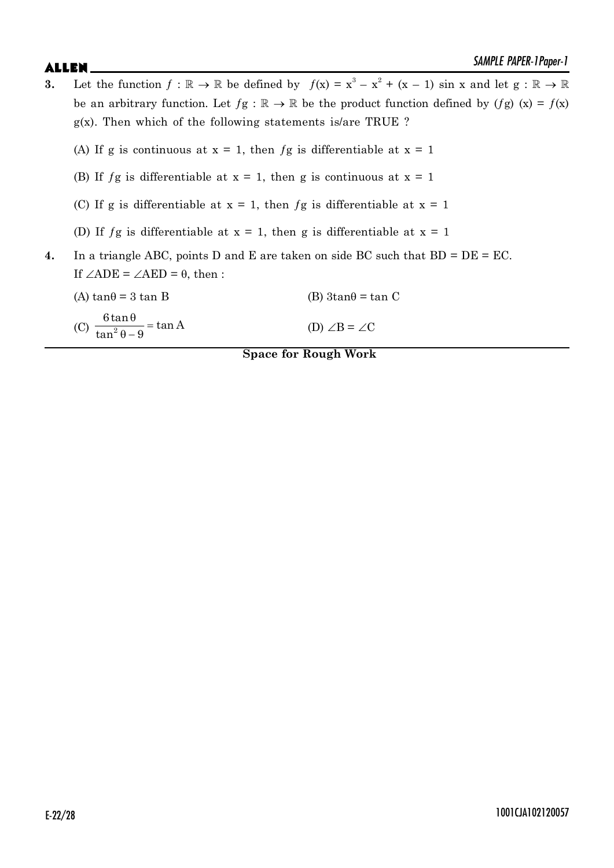- **3.** Let the function  $f : \mathbb{R} \to \mathbb{R}$  be defined by  $f(x) = x^3 x^2 + (x 1) \sin x$  and let  $g : \mathbb{R} \to \mathbb{R}$ be an arbitrary function. Let  $fg : \mathbb{R} \to \mathbb{R}$  be the product function defined by  $(fg)$  (x) =  $f(x)$  $g(x)$ . Then which of the following statements is/are TRUE ?
	- (A) If g is continuous at  $x = 1$ , then fg is differentiable at  $x = 1$
	- (B) If  $fg$  is differentiable at  $x = 1$ , then g is continuous at  $x = 1$
	- (C) If g is differentiable at  $x = 1$ , then  $fg$  is differentiable at  $x = 1$
	- (D) If  $fg$  is differentiable at  $x = 1$ , then g is differentiable at  $x = 1$
- **4.** In a triangle ABC, points D and E are taken on side BC such that BD = DE = EC. If  $\angle ADE = \angle AED = \theta$ , then :

| (A) $tan\theta = 3 tan B$                           | (B) $3\tan\theta = \tan C$ |
|-----------------------------------------------------|----------------------------|
| (c) $\frac{6\tan\theta}{\tan^2\theta - 9} = \tan A$ | (D) $\angle B = \angle C$  |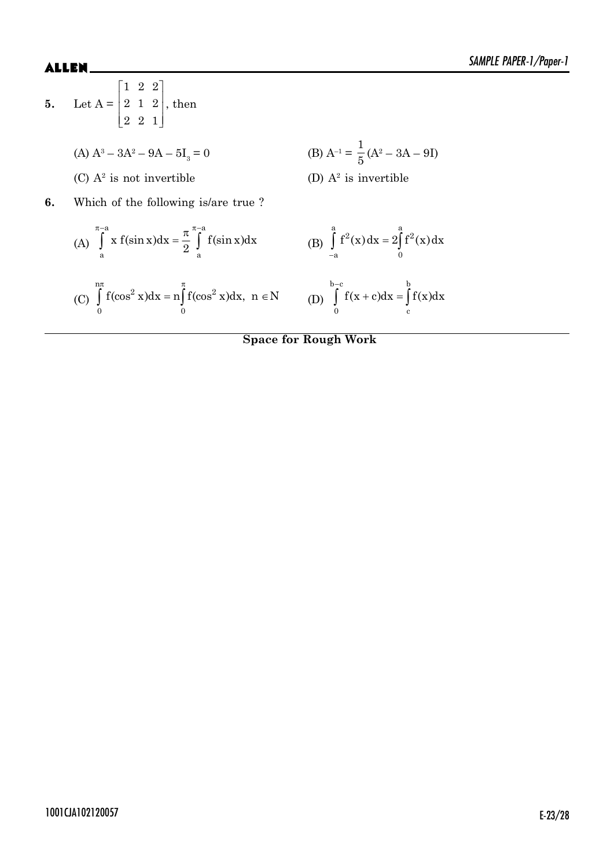5. Let 
$$
A = \begin{bmatrix} 1 & 2 & 2 \\ 2 & 1 & 2 \\ 2 & 2 & 1 \end{bmatrix}
$$
, then  
\n(A)  $A^3 - 3A^2 - 9A - 5I_3 = 0$   
\n(B)  $A^{-1} = \frac{1}{5}(A^2 - 3A - 9I)$   
\n(C)  $A^2$  is not invertible  
\n6. Which of the following is/are true?  
\n(A)  $\int_{a}^{\pi-a} x f(\sin x) dx = \frac{\pi}{2} \int_{a}^{\pi-a} f(\sin x) dx$   
\n(B)  $\int_{-a}^{a} f^2(x) dx = 2 \int_{0}^{a} f^2(x) dx$   
\n(C)  $\int_{0}^{n\pi} f(\cos^2 x) dx = n \int_{0}^{\pi} f(\cos^2 x) dx$ ,  $n \in N$   
\n(D)  $\int_{0}^{b-c} f(x + c) dx = \int_{c}^{b} f(x) dx$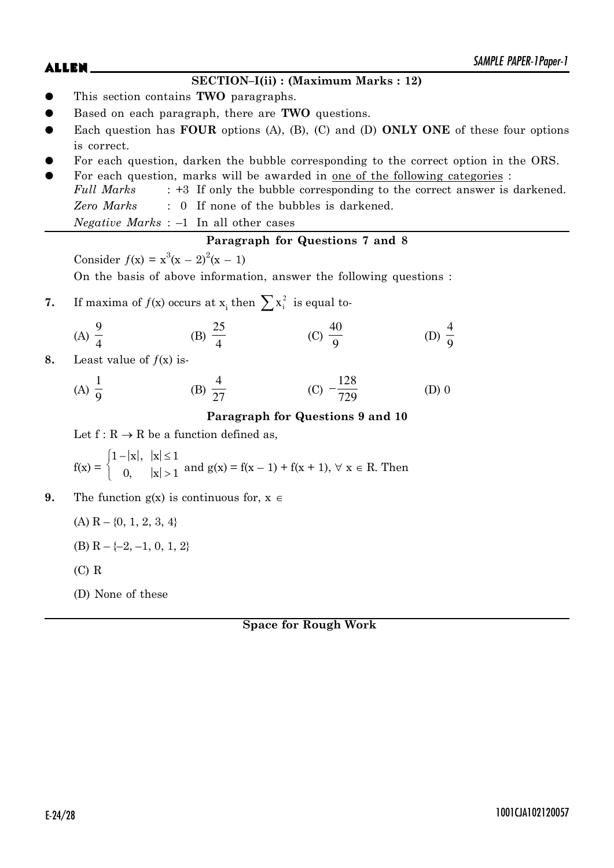# $ALLEN$   $\sum_{\text{S/NPLC}}$   $PAPEN-1$   $PQPE-1$

### **SECTION–I(ii) : (Maximum Marks : 12)**

- z This section contains **TWO** paragraphs.
- Based on each paragraph, there are **TWO** questions.
- Each question has **FOUR** options (A), (B), (C) and (D) **ONLY ONE** of these four options is correct.
- For each question, darken the bubble corresponding to the correct option in the ORS.
- For each question, marks will be awarded in one of the following categories : *Full Marks* : +3 If only the bubble corresponding to the correct answer is darkened. *Zero Marks* : 0 If none of the bubbles is darkened. *Negative Marks* : –1 In all other cases

## **Paragraph for Questions 7 and 8**

Consider  $f(x) = x^3(x - 2)^2(x - 1)$ 

On the basis of above information, answer the following questions :

**7.** If maxima of  $f(x)$  occurs at  $x_i$  then  $\sum x_i^2$  is equal to-

(A) 
$$
\frac{9}{4}
$$
 \t\t (B)  $\frac{25}{4}$  \t\t (C)  $\frac{40}{9}$  \t\t (D)  $\frac{4}{9}$ 

**8.** Least value of  $f(x)$  is-

(A) 
$$
\frac{1}{9}
$$
 \t\t (B)  $\frac{4}{27}$  \t\t (C)  $-\frac{128}{729}$  \t\t (D) 0

### **Paragraph for Questions 9 and 10**

Let  $f: R \to R$  be a function defined as,

$$
f(x) = \begin{cases} 1 - |x|, & |x| \le 1 \\ 0, & |x| > 1 \end{cases}
$$
 and  $g(x) = f(x - 1) + f(x + 1), \forall x \in R$ . Then

**9.** The function  $g(x)$  is continuous for,  $x \in$ 

 $(A)$  R – {0, 1, 2, 3, 4}

- (B)  $R \{-2, -1, 0, 1, 2\}$
- (C) R
- (D) None of these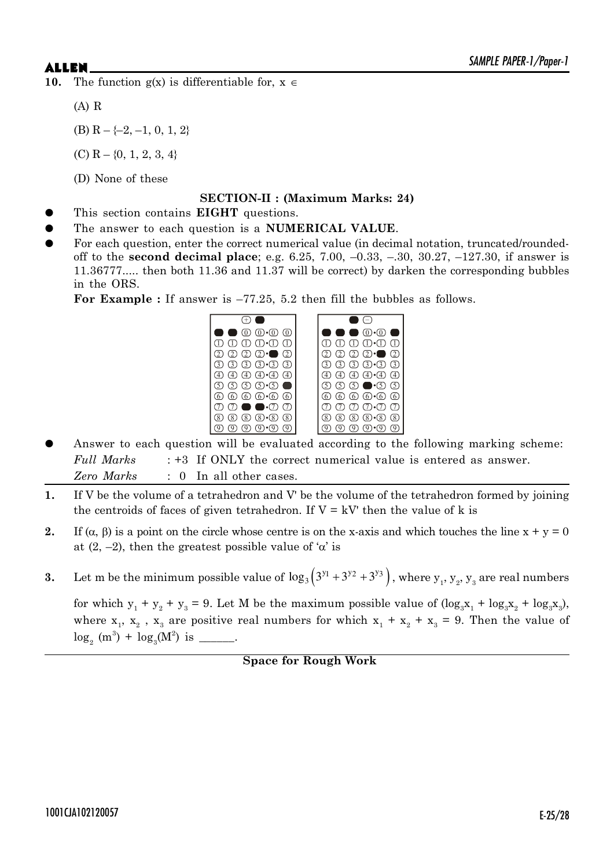**10.** The function  $g(x)$  is differentiable for,  $x \in$ 

(A) R

- (B)  $R \{-2, -1, 0, 1, 2\}$
- $(C)$  R {0, 1, 2, 3, 4}
- (D) None of these

### **SECTION-II : (Maximum Marks: 24)**

- This section contains **EIGHT** questions.
- The answer to each question is a **NUMERICAL VALUE**.
- For each question, enter the correct numerical value (in decimal notation, truncated/roundedoff to the **second decimal place**; e.g. 6.25, 7.00, –0.33, –.30, 30.27, –127.30, if answer is 11.36777..... then both 11.36 and 11.37 will be correct) by darken the corresponding bubbles in the ORS.

For Example : If answer is  $-77.25$ , 5.2 then fill the bubbles as follows.



- Answer to each question will be evaluated according to the following marking scheme: *Full Marks* : +3 If ONLY the correct numerical value is entered as answer. *Zero Marks* : 0 In all other cases.
- **1.** If V be the volume of a tetrahedron and V' be the volume of the tetrahedron formed by joining the centroids of faces of given tetrahedron. If  $V = kV$  then the value of k is
- **2.** If  $(\alpha, \beta)$  is a point on the circle whose centre is on the x-axis and which touches the line  $x + y = 0$ at  $(2, -2)$ , then the greatest possible value of ' $\alpha$ ' is
- **3.** Let m be the minimum possible value of  $\log_3(3^{y_1} + 3^{y_2} + 3^{y_3})$ , where  $y_1, y_2, y_3$  are real numbers

for which  $y_1 + y_2 + y_3 = 9$ . Let M be the maximum possible value of  $(\log_3 x_1 + \log_3 x_2 + \log_3 x_3)$ , where  $x_1$ ,  $x_2$ ,  $x_3$  are positive real numbers for which  $x_1 + x_2 + x_3 = 9$ . Then the value of  $\log_2(m^3) + \log_3(M^2)$  is \_\_\_\_\_\_.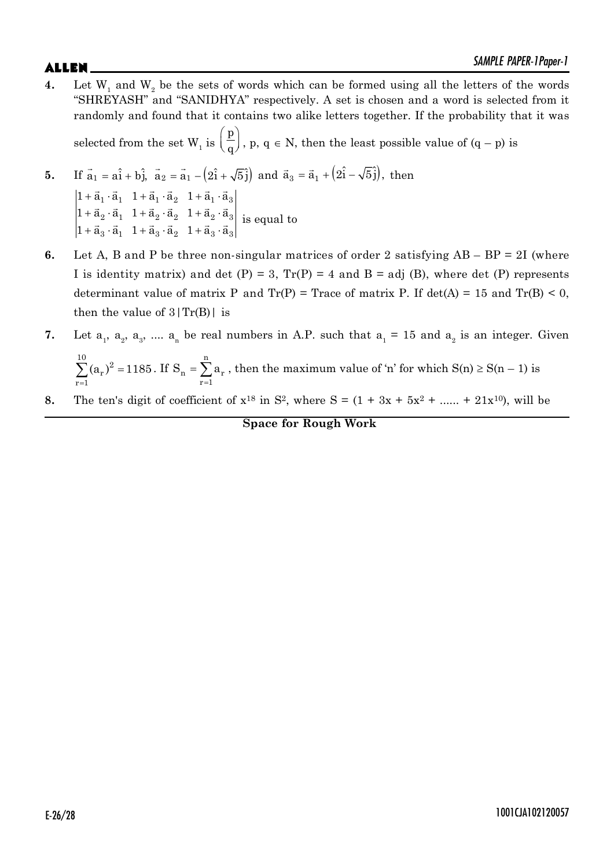$ALLEN$   $\sum_{\text{S/NPLC}}$   $PAPEN-1$   $PQPE-1$ **4.** Let  $W_1$  and  $W_2$  be the sets of words which can be formed using all the letters of the words "SHREYASH" and "SANIDHYA" respectively. A set is chosen and a word is selected from it randomly and found that it contains two alike letters together. If the probability that it was selected from the set W<sub>1</sub> is  $\left(\frac{\mathbf{p}}{\mathbf{q}}\right)$ ,  $\left(\frac{1}{q}\right)$ , p, q  $\in$  N, then the least possible value of  $(q - p)$  is

5. If 
$$
\vec{a}_1 = a\hat{i} + b\hat{j}
$$
,  $\vec{a}_2 = \vec{a}_1 - (2\hat{i} + \sqrt{5}\hat{j})$  and  $\vec{a}_3 = \vec{a}_1 + (2\hat{i} - \sqrt{5}\hat{j})$ , then  
\n
$$
\begin{vmatrix}\n1 + \vec{a}_1 \cdot \vec{a}_1 & 1 + \vec{a}_1 \cdot \vec{a}_2 & 1 + \vec{a}_1 \cdot \vec{a}_3 \\
1 + \vec{a}_2 \cdot \vec{a}_1 & 1 + \vec{a}_2 \cdot \vec{a}_2 & 1 + \vec{a}_2 \cdot \vec{a}_3 \\
1 + \vec{a}_3 \cdot \vec{a}_1 & 1 + \vec{a}_3 \cdot \vec{a}_2 & 1 + \vec{a}_3 \cdot \vec{a}_3\n\end{vmatrix}
$$
 is equal to

- **6.** Let A, B and P be three non-singular matrices of order 2 satisfying AB BP = 2I (where I is identity matrix) and det (P) = 3,  $Tr(P) = 4$  and B = adj (B), where det (P) represents determinant value of matrix P and  $Tr(P)$  = Trace of matrix P. If det(A) = 15 and  $Tr(B)$  < 0, then the value of  $3|Tr(B)|$  is
- **7.** Let  $a_1$ ,  $a_2$ ,  $a_3$ , ....  $a_n$  be real numbers in A.P. such that  $a_1 = 15$  and  $a_2$  is an integer. Given n
	- =  $\sum^{10} (a_r)^2 =$ r  $r = 1$  $(a_r)^2 = 1185$ . If  $n - \sum a_r$  $r = 1$  $S_n = \sum a$ =  $=\sum a_r$ , then the maximum value of 'n' for which  $S(n) \ge S(n - 1)$  is
- **8.** The ten's digit of coefficient of  $x^{18}$  in  $S^2$ , where  $S = (1 + 3x + 5x^2 + ... + 21x^{10})$ , will be